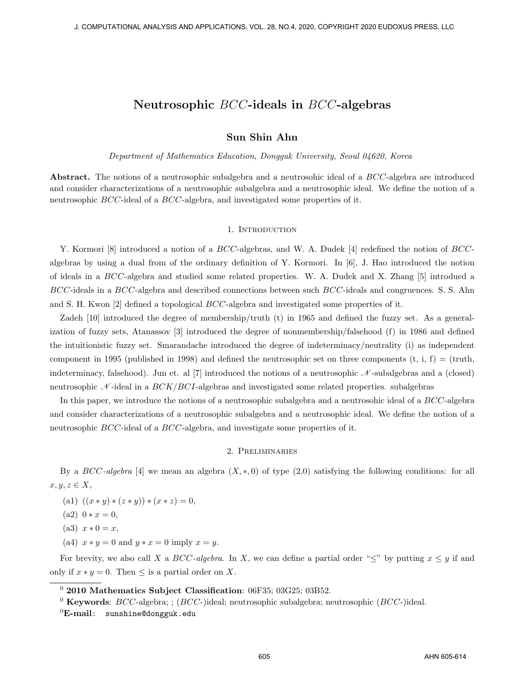## **Sun Shin Ahn**

*Department of Mathematics Education, Dongguk University, Seoul 04620, Korea*

**Abstract.** The notions of a neutrosophic subalgebra and a neutrosohic ideal of a *BCC*-algebra are introduced and consider characterizations of a neutrosophic subalgebra and a neutrosophic ideal. We define the notion of a neutrosophic *BCC*-ideal of a *BCC*-algebra, and investigated some properties of it.

#### 1. INTRODUCTION

Y. Kormori [8] introduced a notion of a *BCC*-algebras, and W. A. Dudek [4] redefined the notion of *BCC*algebras by using a dual from of the ordinary definition of Y. Kormori. In [6], J. Hao introduced the notion of ideals in a *BCC*-algebra and studied some related properties. W. A. Dudek and X. Zhang [5] introdued a *BCC*-ideals in a *BCC*-algebra and described connections between such *BCC*-ideals and congruences. S. S. Ahn and S. H. Kwon [2] defined a topological *BCC*-algebra and investigated some properties of it.

Zadeh [10] introduced the degree of membership/truth (t) in 1965 and defined the fuzzy set. As a generalization of fuzzy sets, Atanassov [3] introduced the degree of nonmembership/falsehood (f) in 1986 and defined the intuitionistic fuzzy set. Smarandache introduced the degree of indeterminacy/neutrality (i) as independent component in 1995 (published in 1998) and defined the neutrosophic set on three components  $(t, i, f) = (truth,$ indeterminacy, falsehood). Jun et. al [7] introduced the notions of a neutrosophic *N* -subalgebras and a (closed) neutrosophic *N* -ideal in a *BCK/BCI*-algebras and investigated some related properties. subalgebras

In this paper, we introduce the notions of a neutrosophic subalgebra and a neutrosohic ideal of a *BCC*-algebra and consider characterizations of a neutrosophic subalgebra and a neutrosophic ideal. We define the notion of a neutrosophic *BCC*-ideal of a *BCC*-algebra, and investigate some properties of it.

#### 2. Preliminaries

By a *BCC-algebra* [4] we mean an algebra (*X, ∗,* 0) of type (2,0) satisfying the following conditions: for all  $x, y, z \in X$ ,

- $(a1) ((x * y) * (z * y)) * (x * z) = 0,$
- $(a2) 0 * x = 0,$
- $(a3)$   $x * 0 = x$ ,
- (a4)  $x * y = 0$  and  $y * x = 0$  imply  $x = y$ .

For brevity, we also call *X* a *BCC*-algebra. In *X*, we can define a partial order " $\leq$ " by putting  $x \leq y$  if and only if  $x * y = 0$ . Then ≤ is a partial order on *X*.

<sup>0</sup> **2010 Mathematics Subject Classification**: 06F35; 03G25; 03B52.

<sup>0</sup> **Keywords**: *BCC*-algebra; ; (*BCC*-)ideal; neutrosophic subalgebra; neutrosophic (*BCC*-)ideal.

<sup>0</sup>**E-mail**: sunshine@dongguk.edu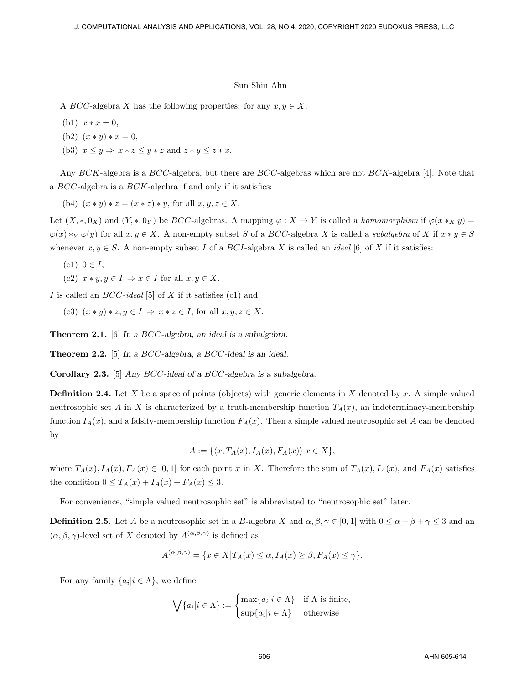A *BCC*-algebra *X* has the following properties: for any  $x, y \in X$ ,

- (b1)  $x * x = 0$ ,
- (b2)  $(x * y) * x = 0$ ,
- (b3)  $x \leq y \Rightarrow x * z \leq y * z$  and  $z * y \leq z * x$ .

Any *BCK*-algebra is a *BCC*-algebra, but there are *BCC*-algebras which are not *BCK*-algebra [4]. Note that a *BCC*-algebra is a *BCK*-algebra if and only if it satisfies:

(b4)  $(x * y) * z = (x * z) * y$ , for all  $x, y, z \in X$ .

Let  $(X,*,0_X)$  and  $(Y,*,0_Y)$  be *BCC*-algebras. A mapping  $\varphi: X \to Y$  is called a *homomorphism* if  $\varphi(x *_{X} y)$  =  $\varphi(x) *_{Y} \varphi(y)$  for all  $x, y \in X$ . A non-empty subset S of a BCC-algebra X is called a *subalgebra* of X if  $x * y \in S$ whenever  $x, y \in S$ . A non-empty subset *I* of a *BCI*-algebra *X* is called an *ideal* [6] of *X* if it satisfies:

- $(c1)$   $0 \in I$ ,
- $(c2)$   $x * y, y \in I \Rightarrow x \in I$  for all  $x, y \in X$ .

*I* is called an *BCC-ideal* [5] of *X* if it satisfies (c1) and

(c3)  $(x * y) * z, y \in I \Rightarrow x * z \in I$ , for all  $x, y, z \in X$ .

**Theorem 2.1.** [6] *In a BCC-algebra, an ideal is a subalgebra.*

**Theorem 2.2.** [5] *In a BCC-algebra, a BCC-ideal is an ideal.*

**Corollary 2.3.** [5] *Any BCC-ideal of a BCC-algebra is a subalgebra.*

**Definition 2.4.** Let  $X$  be a space of points (objects) with generic elements in  $X$  denoted by  $x$ . A simple valued neutrosophic set *A* in *X* is characterized by a truth-membership function  $T_A(x)$ , an indeterminacy-membership function  $I_A(x)$ , and a falsity-membership function  $F_A(x)$ . Then a simple valued neutrosophic set *A* can be denoted by

$$
A := \{ \langle x, T_A(x), I_A(x), F_A(x) \rangle | x \in X \},\
$$

where  $T_A(x)$ ,  $I_A(x)$ ,  $F_A(x) \in [0,1]$  for each point x in X. Therefore the sum of  $T_A(x)$ ,  $I_A(x)$ , and  $F_A(x)$  satisfies the condition  $0 \le T_A(x) + I_A(x) + F_A(x) \le 3$ .

For convenience, "simple valued neutrosophic set" is abbreviated to "neutrosophic set" later.

**Definition 2.5.** Let *A* be a neutrosophic set in a *B*-algebra *X* and  $\alpha, \beta, \gamma \in [0, 1]$  with  $0 \leq \alpha + \beta + \gamma \leq 3$  and an  $(\alpha, \beta, \gamma)$ -level set of *X* denoted by  $A^{(\alpha,\beta,\gamma)}$  is defined as

$$
A^{(\alpha,\beta,\gamma)} = \{ x \in X | T_A(x) \le \alpha, I_A(x) \ge \beta, F_A(x) \le \gamma \}.
$$

For any family  $\{a_i | i \in \Lambda\}$ , we define

$$
\bigvee \{a_i | i \in \Lambda\} := \begin{cases} \max \{a_i | i \in \Lambda\} & \text{if } \Lambda \text{ is finite,} \\ \sup \{a_i | i \in \Lambda\} & \text{otherwise} \end{cases}
$$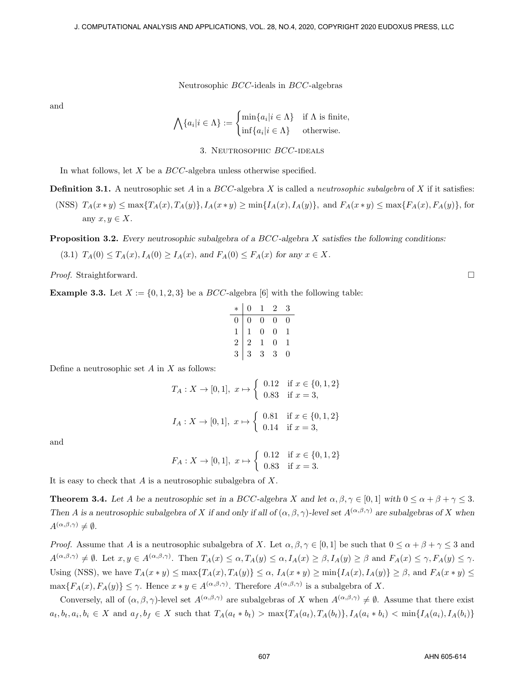and

$$
\bigwedge \{a_i | i \in \Lambda\} := \begin{cases} \min \{a_i | i \in \Lambda\} & \text{if } \Lambda \text{ is finite,} \\ \inf \{a_i | i \in \Lambda\} & \text{otherwise.} \end{cases}
$$

3. Neutrosophic *BCC*-ideals

In what follows, let *X* be a *BCC*-algebra unless otherwise specified.

**Definition 3.1.** A neutrosophic set *A* in a *BCC*-algebra *X* is called a *neutrosophic subalgebra* of *X* if it satisfies:

(NSS)  $T_A(x * y) \le \max\{T_A(x), T_A(y)\}, I_A(x * y) \ge \min\{I_A(x), I_A(y)\}, \text{ and } F_A(x * y) \le \max\{F_A(x), F_A(y)\}, \text{ for } x \in \{0, 1\}$ any  $x, y \in X$ .

**Proposition 3.2.** *Every neutrosophic subalgebra of a BCC-algebra X satisfies the following conditions:*

(3.1)  $T_A(0) \leq T_A(x), I_A(0) \geq I_A(x),$  and  $F_A(0) \leq F_A(x)$  for any  $x \in X$ .

*Proof.* Straightforward. □

**Example 3.3.** Let  $X := \{0, 1, 2, 3\}$  be a  $BCC$ -algebra [6] with the following table:

| $\ast$         | $\boldsymbol{0}$ | 1 | $\overline{2}$ | 3 |
|----------------|------------------|---|----------------|---|
| $\overline{0}$ | 0                | 0 | 0              | 0 |
| $\frac{1}{2}$  | 1                | 0 | 0              | 1 |
|                | $\overline{2}$   | 1 | 0              | 1 |
|                | 3                | 3 | 3              | 0 |

Define a neutrosophic set *A* in *X* as follows:

$$
T_A: X \to [0, 1], x \mapsto \begin{cases} 0.12 & \text{if } x \in \{0, 1, 2\} \\ 0.83 & \text{if } x = 3, \end{cases}
$$

$$
I_A: X \to [0, 1], x \mapsto \begin{cases} 0.81 & \text{if } x \in \{0, 1, 2\} \\ 0.14 & \text{if } x = 3, \end{cases}
$$

and

$$
F_A: X \to [0,1], \ x \mapsto \left\{ \begin{array}{ll} 0.12 & \text{if } x \in \{0,1,2\} \\ 0.83 & \text{if } x = 3. \end{array} \right.
$$

It is easy to check that *A* is a neutrosophic subalgebra of *X*.

**Theorem 3.4.** Let A be a neutrosophic set in a BCC-algebra X and let  $\alpha, \beta, \gamma \in [0, 1]$  with  $0 \le \alpha + \beta + \gamma \le 3$ . *Then A is a neutrosophic subalgebra of X if and only if all of*  $(\alpha, \beta, \gamma)$ *-level set*  $A^{(\alpha, \beta, \gamma)}$  *are subalgebras of X when*  $A^{(\alpha,\beta,\gamma)} \neq \emptyset$ *.* 

*Proof.* Assume that *A* is a neutrosophic subalgebra of *X*. Let  $\alpha, \beta, \gamma \in [0,1]$  be such that  $0 \leq \alpha + \beta + \gamma \leq 3$  and  $A^{(\alpha,\beta,\gamma)} \neq \emptyset$ . Let  $x, y \in A^{(\alpha,\beta,\gamma)}$ . Then  $T_A(x) \leq \alpha$ ,  $T_A(y) \leq \alpha$ ,  $I_A(x) \geq \beta$ ,  $I_A(y) \geq \beta$  and  $F_A(x) \leq \gamma$ ,  $F_A(y) \leq \gamma$ . Using (NSS), we have  $T_A(x * y) \le \max\{T_A(x), T_A(y)\} \le \alpha$ ,  $I_A(x * y) \ge \min\{I_A(x), I_A(y)\} \ge \beta$ , and  $F_A(x * y) \le$  $\max\{F_A(x), F_A(y)\} \leq \gamma$ . Hence  $x * y \in A^{(\alpha,\beta,\gamma)}$ . Therefore  $A^{(\alpha,\beta,\gamma)}$  is a subalgebra of *X*.

Conversely, all of  $(\alpha, \beta, \gamma)$ -level set  $A^{(\alpha, \beta, \gamma)}$  are subalgebras of *X* when  $A^{(\alpha, \beta, \gamma)} \neq \emptyset$ . Assume that there exist  $a_t, b_t, a_i, b_i \in X$  and  $a_f, b_f \in X$  such that  $T_A(a_t * b_t) > \max\{T_A(a_t), T_A(b_t)\}, I_A(a_i * b_i) < \min\{I_A(a_i), I_A(b_i)\}\$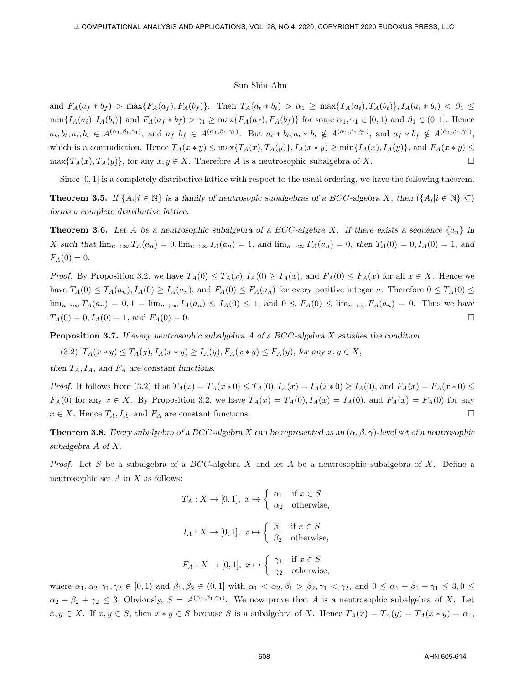and  $F_A(a_f * b_f) > \max\{F_A(a_f), F_A(b_f)\}\$ . Then  $T_A(a_t * b_t) > \alpha_1 \geq \max\{T_A(a_t), T_A(b_t)\}, I_A(a_i * b_i) < \beta_1 \leq \beta_2$  $\min\{I_A(a_i), I_A(b_i)\}\$ and  $F_A(a_f * b_f) > \gamma_1 \geq \max\{F_A(a_f), F_A(b_f)\}\$ for some  $\alpha_1, \gamma_1 \in [0,1]$  and  $\beta_1 \in (0,1]$ . Hence  $a_t, b_t, a_i, b_i \in A^{(\alpha_1, \beta_1, \gamma_1)},$  and  $a_f, b_f \in A^{(\alpha_1, \beta_1, \gamma_1)}$ . But  $a_t * b_t, a_i * b_i \notin A^{(\alpha_1, \beta_1, \gamma_1)},$  and  $a_f * b_f \notin A^{(\alpha_1, \beta_1, \gamma_1)},$ which is a contradiction. Hence  $T_A(x * y) \le \max\{T_A(x), T_A(y)\}\,$ ,  $I_A(x * y) \ge \min\{I_A(x), I_A(y)\}\,$ , and  $F_A(x * y) \le$  $\max\{T_A(x), T_A(y)\}\$ , for any  $x, y \in X$ . Therefore *A* is a neutrosophic subalgebra of *X*. □

Since  $[0, 1]$  is a completely distributive lattice with respect to the usual ordering, we have the following theorem.

**Theorem 3.5.** If  $\{A_i | i \in \mathbb{N}\}\)$  is a family of neutrosopic subalgebras of a BCC-algebra X, then  $(\{A_i | i \in \mathbb{N}\}, \subseteq)$ *forms a complete distributive lattice.*

**Theorem 3.6.** Let A be a neutrosophic subalgebra of a BCC-algebra X. If there exists a sequence  $\{a_n\}$  in X such that  $\lim_{n\to\infty} T_A(a_n) = 0$ ,  $\lim_{n\to\infty} I_A(a_n) = 1$ , and  $\lim_{n\to\infty} F_A(a_n) = 0$ , then  $T_A(0) = 0$ ,  $I_A(0) = 1$ , and  $F_A(0) = 0.$ 

*Proof.* By Proposition 3.2, we have  $T_A(0) \leq T_A(x)$ ,  $I_A(0) \geq I_A(x)$ , and  $F_A(0) \leq F_A(x)$  for all  $x \in X$ . Hence we have  $T_A(0) \leq T_A(a_n)$ ,  $I_A(0) \geq I_A(a_n)$ , and  $F_A(0) \leq F_A(a_n)$  for every positive integer n. Therefore  $0 \leq T_A(0) \leq$  $\lim_{n\to\infty}T_A(a_n)=0, 1=\lim_{n\to\infty}I_A(a_n)\leq I_A(0)\leq 1$ , and  $0\leq F_A(0)\leq \lim_{n\to\infty}F_A(a_n)=0$ . Thus we have  $T_A(0) = 0, I_A(0) = 1, \text{ and } F_A(0) = 0.$  □

**Proposition 3.7.** *If every neutrosophic subalgebra A of a BCC-algebra X satisfies the condition*

(3.2)  $T_A(x * y) \leq T_A(y)$ ,  $I_A(x * y) \geq I_A(y)$ ,  $F_A(x * y) \leq F_A(y)$ , for any  $x, y \in X$ ,

*then TA, IA, and F<sup>A</sup> are constant functions.*

*Proof.* It follows from (3.2) that  $T_A(x) = T_A(x*0) \leq T_A(0), I_A(x) = I_A(x*0) \geq I_A(0),$  and  $F_A(x) = F_A(x*0) \leq$  $F_A(0)$  for any  $x \in X$ . By Proposition 3.2, we have  $T_A(x) = T_A(0)$ ,  $I_A(x) = I_A(0)$ , and  $F_A(x) = F_A(0)$  for any  $x \in X$ . Hence  $T_A$ ,  $I_A$ , and  $F_A$  are constant functions. □

**Theorem 3.8.** *Every subalgebra of a BCC*-algebra *X* can be represented as an  $(\alpha, \beta, \gamma)$ -level set of a neutrosophic *subalgebra A of X.*

*Proof.* Let *S* be a subalgebra of a *BCC*-algebra *X* and let *A* be a neutrosophic subalgebra of *X*. Define a neutrosophic set *A* in *X* as follows:

$$
T_A: X \to [0,1], x \mapsto \begin{cases} \alpha_1 & \text{if } x \in S \\ \alpha_2 & \text{otherwise,} \end{cases}
$$
  

$$
I_A: X \to [0,1], x \mapsto \begin{cases} \beta_1 & \text{if } x \in S \\ \beta_2 & \text{otherwise,} \end{cases}
$$
  

$$
F_A: X \to [0,1], x \mapsto \begin{cases} \gamma_1 & \text{if } x \in S \\ \gamma_2 & \text{otherwise,} \end{cases}
$$

where  $\alpha_1, \alpha_2, \gamma_1, \gamma_2 \in [0,1)$  and  $\beta_1, \beta_2 \in (0,1]$  with  $\alpha_1 < \alpha_2, \beta_1 > \beta_2, \gamma_1 < \gamma_2$ , and  $0 \leq \alpha_1 + \beta_1 + \gamma_1 \leq 3, 0 \leq \gamma_1$  $\alpha_2 + \beta_2 + \gamma_2 \leq 3$ . Obviously,  $S = A^{(\alpha_1, \beta_1, \gamma_1)}$ . We now prove that *A* is a neutrosophic subalgebra of *X*. Let  $x, y \in X$ . If  $x, y \in S$ , then  $x * y \in S$  because S is a subalgebra of X. Hence  $T_A(x) = T_A(y) = T_A(x * y) = \alpha_1$ ,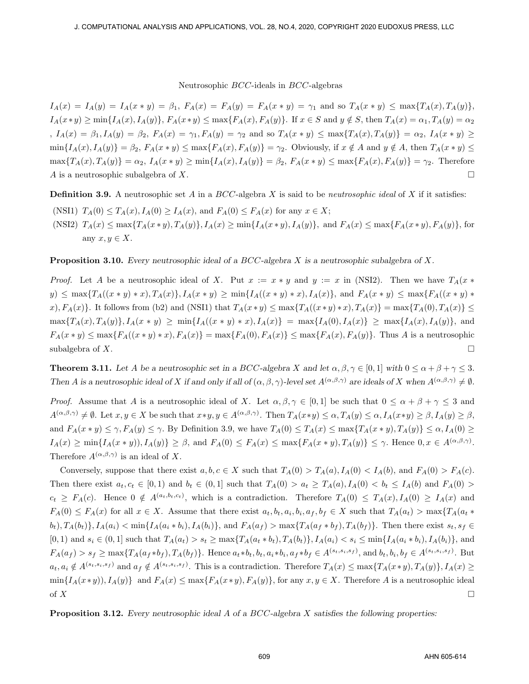$I_A(x) = I_A(y) = I_A(x * y) = \beta_1$ ,  $F_A(x) = F_A(y) = F_A(x * y) = \gamma_1$  and so  $T_A(x * y) \le \max\{T_A(x), T_A(y)\},$  $I_A(x*y) \geq \min\{I_A(x), I_A(y)\}\$ ,  $F_A(x*y) \leq \max\{F_A(x), F_A(y)\}\$ . If  $x \in S$  and  $y \notin S$ , then  $T_A(x) = \alpha_1$ ,  $T_A(y) = \alpha_2$ ,  $I_A(x) = \beta_1, I_A(y) = \beta_2$ ,  $F_A(x) = \gamma_1, F_A(y) = \gamma_2$  and so  $T_A(x * y) \le \max\{T_A(x), T_A(y)\} = \alpha_2, I_A(x * y) \ge$  $\min\{I_A(x), I_A(y)\} = \beta_2$ ,  $F_A(x * y) \leq \max\{F_A(x), F_A(y)\} = \gamma_2$ . Obviously, if  $x \notin A$  and  $y \notin A$ , then  $T_A(x * y) \leq$  $\max\{T_A(x), T_A(y)\} = \alpha_2, I_A(x * y) \ge \min\{I_A(x), I_A(y)\} = \beta_2, F_A(x * y) \le \max\{F_A(x), F_A(y)\} = \gamma_2.$  Therefore *A* is a neutrosophic subalgebra of *X*.  $\Box$ 

**Definition 3.9.** A neutrosophic set *A* in a *BCC*-algebra *X* is said to be *neutrosophic ideal* of *X* if it satisfies:

(NSI1)  $T_A(0) \le T_A(x), I_A(0) \ge I_A(x),$  and  $F_A(0) \le F_A(x)$  for any  $x \in X$ ;  $(\text{NSI2})$   $T_A(x) \leq \max\{T_A(x*y), T_A(y)\}, I_A(x) \geq \min\{I_A(x*y), I_A(y)\}\$ , and  $F_A(x) \leq \max\{F_A(x*y), F_A(y)\}\$ , for any  $x, y \in X$ .

**Proposition 3.10.** *Every neutrosophic ideal of a BCC-algebra X is a neutrosophic subalgebra of X.*

*Proof.* Let *A* be a neutrosophic ideal of *X*. Put  $x := x * y$  and  $y := x$  in (NSI2). Then we have  $T_A(x * y)$  $y) \leq \max\{T_A((x * y) * x), T_A(x)\}, I_A(x * y) \geq \min\{I_A((x * y) * x), I_A(x)\}, \text{ and } F_A(x * y) \leq \max\{F_A((x * y) * x), I_A(x)\}\$  $x, x, x \in \{T_A(x)\}\$ . It follows from (b2) and (NSI1) that  $T_A(x * y) \le \max\{T_A((x * y) * x), T_A(x)\} = \max\{T_A(0), T_A(x)\} \le$  $\max\{T_A(x), T_A(y)\}, I_A(x * y) \geq \min\{I_A((x * y) * x), I_A(x)\} = \max\{I_A(0), I_A(x)\} \geq \max\{I_A(x), I_A(y)\},$  and  $F_A(x * y) \le \max\{F_A((x * y) * x), F_A(x)\} = \max\{F_A(0), F_A(x)\} \le \max\{F_A(x), F_A(y)\}.$  Thus A is a neutrosophic subalgebra of *X*.  $\Box$ 

**Theorem 3.11.** Let A be a neutrosophic set in a BCC-algebra X and let  $\alpha, \beta, \gamma \in [0, 1]$  with  $0 \le \alpha + \beta + \gamma \le 3$ . Then A is a neutrosophic ideal of X if and only if all of  $(\alpha, \beta, \gamma)$ -level set  $A^{(\alpha, \beta, \gamma)}$  are ideals of X when  $A^{(\alpha, \beta, \gamma)} \neq \emptyset$ .

*Proof.* Assume that *A* is a neutrosophic ideal of *X*. Let  $\alpha, \beta, \gamma \in [0,1]$  be such that  $0 \leq \alpha + \beta + \gamma \leq 3$  and  $A^{(\alpha,\beta,\gamma)} \neq \emptyset$ . Let  $x, y \in X$  be such that  $x * y, y \in A^{(\alpha,\beta,\gamma)}$ . Then  $T_A(x * y) \leq \alpha$ ,  $T_A(y) \leq \alpha$ ,  $I_A(x * y) \geq \beta$ ,  $I_A(y) \geq \beta$ , and  $F_A(x * y) \leq \gamma$ ,  $F_A(y) \leq \gamma$ . By Definition 3.9, we have  $T_A(0) \leq T_A(x) \leq \max\{T_A(x * y), T_A(y)\} \leq \alpha$ ,  $I_A(0) \geq$  $I_A(x) \ge \min\{I_A(x*y)), I_A(y)\} \ge \beta$ , and  $F_A(0) \le F_A(x) \le \max\{F_A(x*y), T_A(y)\} \le \gamma$ . Hence  $0, x \in A^{(\alpha,\beta,\gamma)}$ . Therefore  $A^{(\alpha,\beta,\gamma)}$  is an ideal of X.

Conversely, suppose that there exist  $a, b, c \in X$  such that  $T_A(0) > T_A(a), I_A(0) < I_A(b)$ , and  $F_A(0) > F_A(c)$ . Then there exist  $a_t, c_t \in [0,1)$  and  $b_t \in (0,1]$  such that  $T_A(0) > a_t \geq T_A(a), I_A(0) < b_t \leq I_A(b)$  and  $F_A(0) >$  $c_t \geq F_A(c)$ . Hence  $0 \notin A^{(a_t,b_t,c_t)}$ , which is a contradiction. Therefore  $T_A(0) \leq T_A(x), I_A(0) \geq I_A(x)$  and  $F_A(0) \le F_A(x)$  for all  $x \in X$ . Assume that there exist  $a_t, b_t, a_i, b_i, a_f, b_f \in X$  such that  $T_A(a_t) > \max\{T_A(a_t \ast x)$  $(b_t), T_A(b_t), I_A(a_i) < \min\{I_A(a_i * b_i), I_A(b_i)\}\$ , and  $F_A(a_f) > \max\{T_A(a_f * b_f), T_A(b_f)\}\$ . Then there exist  $s_t, s_f \in I$  $[0,1)$  and  $s_i \in (0,1]$  such that  $T_A(a_t) > s_t \ge \max\{T_A(a_t * b_t), T_A(b_t)\}, I_A(a_i) < s_i \le \min\{I_A(a_i * b_i), I_A(b_t)\}\$ , and  $F_A(a_f) > s_f \ge \max\{T_A(a_f * b_f), T_A(b_f)\}.$  Hence  $a_t * b_t, b_t, a_i * b_i, a_f * b_f \in A^{(s_t, s_i, s_f)}$ , and  $b_t, b_i, b_f \in A^{(s_t, s_i, s_f)}$ . But  $a_t, a_i \notin A^{(s_t, s_i, s_f)}$  and  $a_f \notin A^{(s_t, s_i, s_f)}$ . This is a contradiction. Therefore  $T_A(x) \leq \max\{T_A(x \ast y), T_A(y)\}, I_A(x) \geq$  $\min\{I_A(x*y)), I_A(y)\}\$ and  $F_A(x) \leq \max\{F_A(x*y), F_A(y)\}\$ , for any  $x, y \in X$ . Therefore A is a neutrosophic ideal of  $X$ 

**Proposition 3.12.** *Every neutrosophic ideal A of a BCC-algebra X satisfies the following properties:*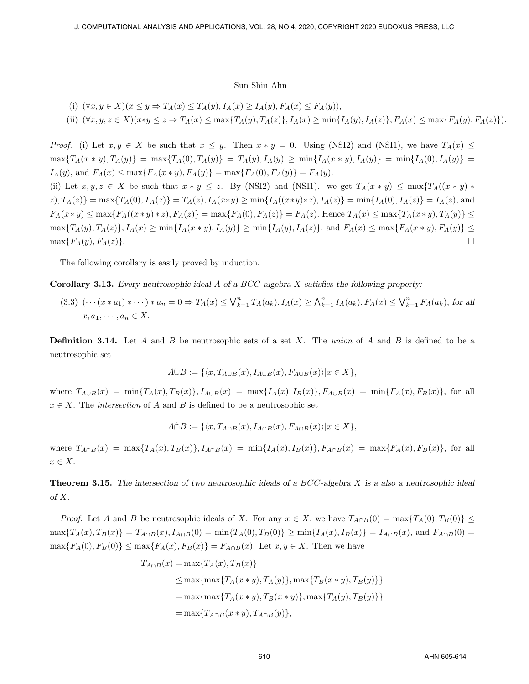(i) 
$$
(\forall x, y \in X)(x \le y \Rightarrow T_A(x) \le T_A(y), I_A(x) \ge I_A(y), F_A(x) \le F_A(y)),
$$
  
\n(ii)  $(\forall x, y, z \in X)(x * y \le z \Rightarrow T_A(x) \le \max\{T_A(y), T_A(z)\}, I_A(x) \ge \min\{I_A(y), I_A(z)\}, F_A(x) \le \max\{F_A(y), F_A(z)\}).$ 

$$
(\gamma_1 \circ \gamma_2) = (\gamma_1 \circ \gamma_2) = (\gamma_1 \circ \gamma_1) = (\gamma_1 \circ \gamma_2) = (\gamma_1 \circ \gamma_1) = (\gamma_1 \circ \gamma_2) = (\gamma_1 \circ \gamma_1) = (\gamma_1 \circ \gamma_2) = (\gamma_1 \circ \gamma_2) = (\gamma_1 \circ \gamma_2) = (\gamma_1 \circ \gamma_2) = (\gamma_1 \circ \gamma_2) = (\gamma_1 \circ \gamma_2) = (\gamma_1 \circ \gamma_2) = (\gamma_1 \circ \gamma_2) = (\gamma_1 \circ \gamma_2) = (\gamma_1 \circ \gamma_2) = (\gamma_1 \circ \gamma_2) = (\gamma_1 \circ \gamma_2) = (\gamma_1 \circ \gamma_2) = (\gamma_1 \circ \gamma_2) = (\gamma_1 \circ \gamma_2) = (\gamma_1 \circ \gamma_2) = (\gamma_1 \circ \gamma_2) = (\gamma_1 \circ \gamma_2) = (\gamma_1 \circ \gamma_2) = (\gamma_1 \circ \gamma_2) = (\gamma_1 \circ \gamma_2) = (\gamma_1 \circ \gamma_2) = (\gamma_1 \circ \gamma_2) = (\gamma_1 \circ \gamma_2) = (\gamma_1 \circ \gamma_2) = (\gamma_1 \circ \gamma_2) = (\gamma_1 \circ \gamma_2) = (\gamma_1 \circ \gamma_2) = (\gamma_1 \circ \gamma_2) = (\gamma_1 \circ \gamma_2) = (\gamma_1 \circ \gamma_2) = (\gamma_1 \circ \gamma_2) = (\gamma_1 \circ \gamma_2) = (\gamma_1 \circ \gamma_2) = (\gamma_1 \circ \gamma_2) = (\gamma_1 \circ \gamma_2) = (\gamma_1 \circ \gamma_2) = (\gamma_1 \circ \gamma_2) = (\gamma_1 \circ \gamma_2) = (\gamma_1 \circ \gamma_2) = (\gamma_1 \circ \gamma_2) = (\gamma_1 \circ \gamma_2) = (\gamma_1 \circ \gamma_2) = (\gamma_1 \circ \gamma_2) = (\gamma_1 \circ \gamma_2) = (\gamma_1 \circ \gamma_2) = (\gamma_1 \circ \gamma_2) = (\gamma_1 \circ \gamma_2) = (\gamma_1 \circ \gamma_2) = (\gamma_1 \circ \gamma_2) = (\gamma_1 \circ \gamma_2) = (\gamma_1 \circ \gamma_2) = (\gamma_1 \circ \gamma_2) = (\gamma_1 \circ \gamma_2) = (\gamma_1 \circ \gamma_2) = (\gamma_1 \circ \gamma_2) = (\gamma_
$$

*Proof.* (i) Let  $x, y \in X$  be such that  $x \leq y$ . Then  $x * y = 0$ . Using (NSI2) and (NSI1), we have  $T_A(x) \leq$  $\max\{T_A(x * y), T_A(y)\} = \max\{T_A(0), T_A(y)\} = T_A(y), I_A(y) \geq \min\{I_A(x * y), I_A(y)\} = \min\{I_A(0), I_A(y)\} =$  $I_A(y)$ , and  $F_A(x) \le \max\{F_A(x*y), F_A(y)\} = \max\{F_A(0), F_A(y)\} = F_A(y)$ .

(ii) Let  $x, y, z \in X$  be such that  $x * y \le z$ . By (NSI2) and (NSI1). we get  $T_A(x * y) \le \max\{T_A((x * y) * y) + T_A((x * y) * y) + T_A((x * y) * y) + T_A((x * y) * y) + T_A((x * y) * y) + T_A((x * y) * y) + T_A((x * y) * y) + T_A((x * y) * y) + T_A((x * y) * y)$  $z(X, \mathcal{I}_A(z)) = \max\{T_A(0), T_A(z)\} = T_A(z), I_A(x*y) \geq \min\{I_A((x*y)*z), I_A(z)\} = \min\{I_A(0), I_A(z)\} = I_A(z),$  and  $F_A(x * y) \le \max\{F_A((x * y) * z), F_A(z)\} = \max\{F_A(0), F_A(z)\} = F_A(z)$ . Hence  $T_A(x) \le \max\{T_A(x * y), T_A(y)\} \le$  $\max\{T_A(y), T_A(z)\}, I_A(x) \geq \min\{I_A(x * y), I_A(y)\}\geq \min\{I_A(y), I_A(z)\}, \text{ and } F_A(x) \leq \max\{F_A(x * y), F_A(y)\}\leq$  $\Box$  $\Box$  $\Box$  $\Box$  $\Box$  $\Box$  $\Box$  $\Box$ 

The following corollary is easily proved by induction.

**Corollary 3.13.** *Every neutrosophic ideal A of a BCC-algebra X satisfies the following property:*

(3.3)  $(\cdots(x*a_1)*\cdots)*a_n=0 \Rightarrow T_A(x) \leq \bigvee_{k=1}^n T_A(a_k), I_A(x) \geq \bigwedge_{k=1}^n I_A(a_k), F_A(x) \leq \bigvee_{k=1}^n F_A(a_k),$  for all  $x, a_1, \cdots, a_n \in X$ .

**Definition 3.14.** Let *A* and *B* be neutrosophic sets of a set *X*. The *union* of *A* and *B* is defined to be a neutrosophic set

$$
A\tilde{\cup}B := \{ \langle x, T_{A\cup B}(x), I_{A\cup B}(x), F_{A\cup B}(x) \rangle | x \in X \},\
$$

where  $T_{A\cup B}(x) = \min\{T_A(x), T_B(x)\}, I_{A\cup B}(x) = \max\{I_A(x), I_B(x)\}, F_{A\cup B}(x) = \min\{F_A(x), F_B(x)\},$  for all  $x \in X$ . The *intersection* of *A* and *B* is defined to be a neutrosophic set

$$
A \tilde{\cap} B := \{ \langle x, T_{A \cap B}(x), I_{A \cap B}(x), F_{A \cap B}(x) \rangle | x \in X \},\
$$

where  $T_{A\cap B}(x) = \max\{T_A(x), T_B(x)\}\$ ,  $I_{A\cap B}(x) = \min\{I_A(x), I_B(x)\}\$ ,  $F_{A\cap B}(x) = \max\{F_A(x), F_B(x)\}\$ , for all *x ∈ X*.

**Theorem 3.15.** *The intersection of two neutrosophic ideals of a BCC-algebra X is a also a neutrosophic ideal of X.*

*Proof.* Let *A* and *B* be neutrosophic ideals of *X*. For any  $x \in X$ , we have  $T_{A \cap B}(0) = \max\{T_A(0), T_B(0)\} \le$  $\max\{T_A(x),T_B(x)\}=T_{A\cap B}(x), I_{A\cap B}(0)=\min\{T_A(0),T_B(0)\}\geq \min\{I_A(x),I_B(x)\}=I_{A\cap B}(x),$  and  $F_{A\cap B}(0)=\min\{T_A(x),T_B(x)\}$  $\max\{F_A(0), F_B(0)\}\leq \max\{F_A(x), F_B(x)\}=F_{A\cap B}(x)$ . Let  $x, y \in X$ . Then we have

$$
T_{A \cap B}(x) = \max\{T_A(x), T_B(x)\}
$$
  
\n
$$
\leq \max\{\max\{T_A(x * y), T_A(y)\}, \max\{T_B(x * y), T_B(y)\}\}
$$
  
\n
$$
= \max\{\max\{T_A(x * y), T_B(x * y)\}, \max\{T_A(y), T_B(y)\}\}
$$
  
\n
$$
= \max\{T_{A \cap B}(x * y), T_{A \cap B}(y)\},
$$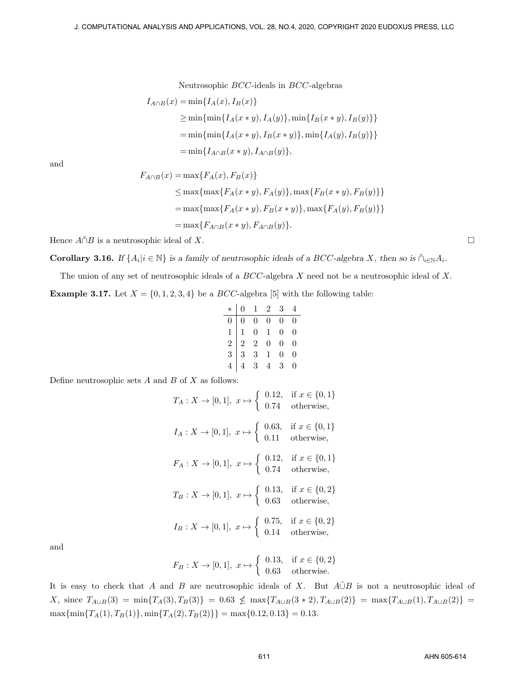$$
I_{A \cap B}(x) = \min\{I_A(x), I_B(x)\}
$$
  
\n
$$
\geq \min\{\min\{I_A(x * y), I_A(y)\}, \min\{I_B(x * y), I_B(y)\}\}
$$
  
\n
$$
= \min\{\min\{I_A(x * y), I_B(x * y)\}, \min\{I_A(y), I_B(y)\}\}
$$
  
\n
$$
= \min\{I_{A \cap B}(x * y), I_{A \cap B}(y)\},
$$

and

$$
F_{A \cap B}(x) = \max\{F_A(x), F_B(x)\}
$$
  
\n
$$
\leq \max\{\max\{F_A(x * y), F_A(y)\}, \max\{F_B(x * y), F_B(y)\}\}
$$
  
\n
$$
= \max\{\max\{F_A(x * y), F_B(x * y)\}, \max\{F_A(y), F_B(y)\}\}
$$
  
\n
$$
= \max\{F_{A \cap B}(x * y), F_{A \cap B}(y)\}.
$$

Hence  $\widehat{A} \cap B$  is a neutrosophic ideal of *X*.

**Corollary 3.16.** If  $\{A_i | i \in \mathbb{N}\}\$ is a family of neutrosophic ideals of a BCC-algebra X, then so is  $\tilde{\cap}_{i \in \mathbb{N}} A_i$ .

The union of any set of neutrosophic ideals of a *BCC*-algebra *X* need not be a neutrosophic ideal of *X.* **Example 3.17.** Let  $X = \{0, 1, 2, 3, 4\}$  be a *BCC*-algebra [5] with the following table:

|  | $*   0 1 2 3 4$ |                                                                                                                                                                  |  |
|--|-----------------|------------------------------------------------------------------------------------------------------------------------------------------------------------------|--|
|  |                 | $\begin{array}{cccccc} 0 & 0 & 0 & 0 & 0 & 0 \\ 1 & 1 & 0 & 1 & 0 & 0 \\ 2 & 2 & 2 & 0 & 0 & 0 \\ 3 & 3 & 3 & 1 & 0 & 0 \\ 4 & 4 & 3 & 4 & 3 & 0 \\ \end{array}$ |  |
|  |                 |                                                                                                                                                                  |  |
|  |                 |                                                                                                                                                                  |  |
|  |                 |                                                                                                                                                                  |  |
|  |                 |                                                                                                                                                                  |  |

Define neutrosophic sets *A* and *B* of *X* as follows:

$$
T_A: X \to [0, 1], x \mapsto \begin{cases} 0.12, & \text{if } x \in \{0, 1\} \\ 0.74 & \text{otherwise,} \end{cases}
$$
  

$$
I_A: X \to [0, 1], x \mapsto \begin{cases} 0.63, & \text{if } x \in \{0, 1\} \\ 0.11 & \text{otherwise,} \end{cases}
$$
  

$$
F_A: X \to [0, 1], x \mapsto \begin{cases} 0.12, & \text{if } x \in \{0, 1\} \\ 0.74 & \text{otherwise,} \end{cases}
$$
  

$$
T_B: X \to [0, 1], x \mapsto \begin{cases} 0.13, & \text{if } x \in \{0, 2\} \\ 0.63 & \text{otherwise,} \end{cases}
$$
  

$$
I_B: X \to [0, 1], x \mapsto \begin{cases} 0.75, & \text{if } x \in \{0, 2\} \\ 0.14 & \text{otherwise,} \end{cases}
$$

and

$$
F_B: X \to [0,1], x \mapsto \begin{cases} 0.13, & \text{if } x \in \{0,2\} \\ 0.63 & \text{otherwise.} \end{cases}
$$

It is easy to check that *A* and *B* are neutrosophic ideals of *X*. But *A∪*˜*B* is not a neutrosophic ideal of X, since  $T_{A\cup B}(3) = \min\{T_A(3), T_B(3)\} = 0.63 \nleq \max\{T_{A\cup B}(3*2), T_{A\cup B}(2)\} = \max\{T_{A\cup B}(1), T_{A\cup B}(2)\} =$  $\max{\{\min\{T_A(1), T_B(1)\}, \min\{T_A(2), T_B(2)\}\}} = \max{\{0.12, 0.13\}} = 0.13.$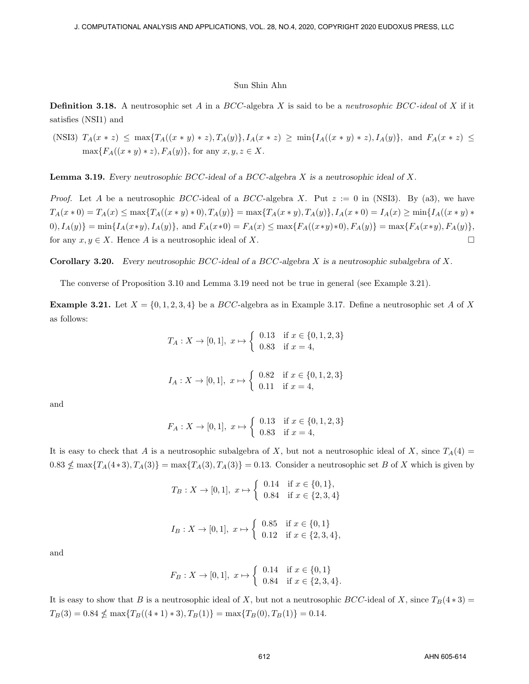**Definition 3.18.** A neutrosophic set *A* in a *BCC*-algebra *X* is said to be a *neutrosophic BCC-ideal* of *X* if it satisfies (NSI1) and

(NSI3)  $T_A(x * z) \leq \max\{T_A((x * y) * z), T_A(y)\}, I_A(x * z) \geq \min\{I_A((x * y) * z), I_A(y)\}\$ , and  $F_A(x * z) \leq$  $\max\{F_A((x * y) * z), F_A(y)\}\$ , for any  $x, y, z \in X$ .

**Lemma 3.19.** *Every neutrosophic BCC-ideal of a BCC-algebra X is a neutrosophic ideal of X.*

*Proof.* Let *A* be a neutrosophic *BCC*-ideal of a *BCC*-algebra *X*. Put *z* := 0 in (NSI3). By (a3), we have  $T_A(x * 0) = T_A(x) \le \max\{T_A((x * y) * 0), T_A(y)\} = \max\{T_A(x * y), T_A(y)\}, I_A(x * 0) = I_A(x) \ge \min\{I_A((x * y) * 0), T_A(y)\}$  $(0), I_A(y) = \min\{I_A(x*y), I_A(y)\}, \text{ and } F_A(x*0) = F_A(x) \leq \max\{F_A((x*y)*0), F_A(y)\} = \max\{F_A(x*y), F_A(y)\},$ for any  $x, y \in X$ . Hence *A* is a neutrosophic ideal of *X*. □

**Corollary 3.20.** *Every neutrosophic BCC-ideal of a BCC-algebra X is a neutrosophic subalgebra of X.*

The converse of Proposition 3.10 and Lemma 3.19 need not be true in general (see Example 3.21).

**Example 3.21.** Let  $X = \{0, 1, 2, 3, 4\}$  be a *BCC*-algebra as in Example 3.17. Define a neutrosophic set *A* of *X* as follows:

$$
T_A: X \to [0,1], \ x \mapsto \left\{ \begin{array}{ll} 0.13 & \text{if } x \in \{0,1,2,3\} \\ 0.83 & \text{if } x = 4, \end{array} \right.
$$

$$
I_A: X \to [0, 1], \ x \mapsto \left\{ \begin{array}{ll} 0.82 & \text{if } x \in \{0, 1, 2, 3\} \\ 0.11 & \text{if } x = 4, \end{array} \right.
$$

and

$$
F_A: X \to [0, 1], \ x \mapsto \left\{ \begin{array}{ll} 0.13 & \text{if } x \in \{0, 1, 2, 3\} \\ 0.83 & \text{if } x = 4, \end{array} \right.
$$

It is easy to check that *A* is a neutrosophic subalgebra of *X*, but not a neutrosophic ideal of *X*, since  $T_A(4)$  =  $0.83 \nleq \max\{T_A(4*3), T_A(3)\} = \max\{T_A(3), T_A(3)\} = 0.13$ . Consider a neutrosophic set B of X which is given by

$$
T_B: X \to [0, 1], \ x \mapsto \begin{cases} 0.14 & \text{if } x \in \{0, 1\}, \\ 0.84 & \text{if } x \in \{2, 3, 4\} \end{cases}
$$
  

$$
I_B: X \to [0, 1], \ x \mapsto \begin{cases} 0.85 & \text{if } x \in \{0, 1\} \\ 0.12 & \text{if } x \in \{2, 3, 4\}, \end{cases}
$$

and

$$
F_B: X \to [0,1], \ x \mapsto \left\{ \begin{array}{ll} 0.14 & \text{if } x \in \{0,1\} \\ 0.84 & \text{if } x \in \{2,3,4\}. \end{array} \right.
$$

It is easy to show that *B* is a neutrosophic ideal of *X*, but not a neutrosophic *BCC*-ideal of *X*, since  $T_B(4*3)$  =  $T_B(3) = 0.84 \nleq \max\{T_B((4*1)*3), T_B(1)\} = \max\{T_B(0), T_B(1)\} = 0.14.$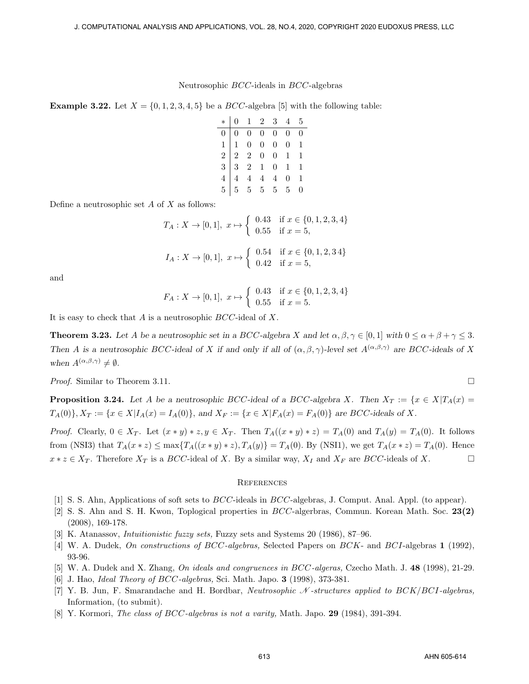**Example 3.22.** Let  $X = \{0, 1, 2, 3, 4, 5\}$  be a *BCC*-algebra [5] with the following table:

| $\begin{array}{c cccccc} * & 0 & 1 & 2 & 3 & 4 & 5 \\ \hline 0 & 0 & 0 & 0 & 0 & 0 & 0 \\ 1 & 1 & 0 & 0 & 0 & 0 & 1 \\ 2 & 2 & 2 & 0 & 0 & 1 & 1 \\ 3 & 3 & 2 & 1 & 0 & 1 & 1 \\ 4 & 4 & 4 & 4 & 4 & 0 & 1 \\ 5 & 5 & 5 & 5 & 5 & 5 & 0 \\ \end{array}$ |  |  |  |
|---------------------------------------------------------------------------------------------------------------------------------------------------------------------------------------------------------------------------------------------------------|--|--|--|
|                                                                                                                                                                                                                                                         |  |  |  |
|                                                                                                                                                                                                                                                         |  |  |  |
|                                                                                                                                                                                                                                                         |  |  |  |
|                                                                                                                                                                                                                                                         |  |  |  |
|                                                                                                                                                                                                                                                         |  |  |  |

Define a neutrosophic set *A* of *X* as follows:

$$
T_A: X \to [0, 1], \ x \mapsto \begin{cases} 0.43 & \text{if } x \in \{0, 1, 2, 3, 4\} \\ 0.55 & \text{if } x = 5, \end{cases}
$$
\n
$$
I_A: X \to [0, 1], \ x \mapsto \begin{cases} 0.54 & \text{if } x \in \{0, 1, 2, 3, 4\} \\ 0.42 & \text{if } x = 5, \end{cases}
$$

and

$$
F_A: X \to [0,1], \ x \mapsto \left\{ \begin{array}{ll} 0.43 & \text{if } x \in \{0,1,2,3,4\} \\ 0.55 & \text{if } x = 5. \end{array} \right.
$$

It is easy to check that *A* is a neutrosophic *BCC*-ideal of *X*.

**Theorem 3.23.** Let A be a neutrosophic set in a BCC-algebra X and let  $\alpha, \beta, \gamma \in [0,1]$  with  $0 \le \alpha + \beta + \gamma \le 3$ . *Then A is a neutrosophic BCC*-ideal of *X if and only if all of*  $(\alpha, \beta, \gamma)$ -level set  $A^{(\alpha, \beta, \gamma)}$  are BCC-ideals of X *when*  $A^{(\alpha,\beta,\gamma)} \neq \emptyset$ *.* 

*Proof.* Similar to Theorem 3.11.  $\square$ 

**Proposition 3.24.** Let A be a neutrosophic BCC-ideal of a BCC-algebra X. Then  $X_T := \{x \in X | T_A(x) =$  $T_A(0)$ ,  $X_T := \{x \in X | I_A(x) = I_A(0) \}$ , and  $X_F := \{x \in X | F_A(x) = F_A(0) \}$  are BCC-ideals of X.

*Proof.* Clearly,  $0 \in X_T$ . Let  $(x * y) * z, y \in X_T$ . Then  $T_A((x * y) * z) = T_A(0)$  and  $T_A(y) = T_A(0)$ . It follows from (NSI3) that  $T_A(x * z) \le \max\{T_A((x * y) * z), T_A(y)\} = T_A(0)$ . By (NSI1), we get  $T_A(x * z) = T_A(0)$ . Hence  $x * z \in X_T$ . Therefore  $X_T$  is a *BCC*-ideal of *X*. By a similar way,  $X_I$  and  $X_F$  are *BCC*-ideals of *X*. □

#### **REFERENCES**

- [1] S. S. Ahn, Applications of soft sets to *BCC*-ideals in *BCC*-algebras, J. Comput. Anal. Appl. (to appear).
- [2] S. S. Ahn and S. H. Kwon, Toplogical properties in *BCC*-algerbras, Commun. Korean Math. Soc. **23(2)** (2008), 169-178.
- [3] K. Atanassov, *Intuitionistic fuzzy sets,* Fuzzy sets and Systems 20 (1986), 87–96.
- [4] W. A. Dudek, *On constructions of BCC-algebras,* Selected Papers on *BCK* and *BCI*-algebras **1** (1992), 93-96.
- [5] W. A. Dudek and X. Zhang, *On ideals and congruences in BCC-algeras,* Czecho Math. J. **48** (1998), 21-29.
- [6] J. Hao, *Ideal Theory of BCC-algebras,* Sci. Math. Japo. **3** (1998), 373-381.
- [7] Y. B. Jun, F. Smarandache and H. Bordbar, *Neutrosophic N -structures applied to BCK/BCI-algebras,* Information, (to submit).
- [8] Y. Kormori, *The class of BCC-algebras is not a varity,* Math. Japo. **29** (1984), 391-394.